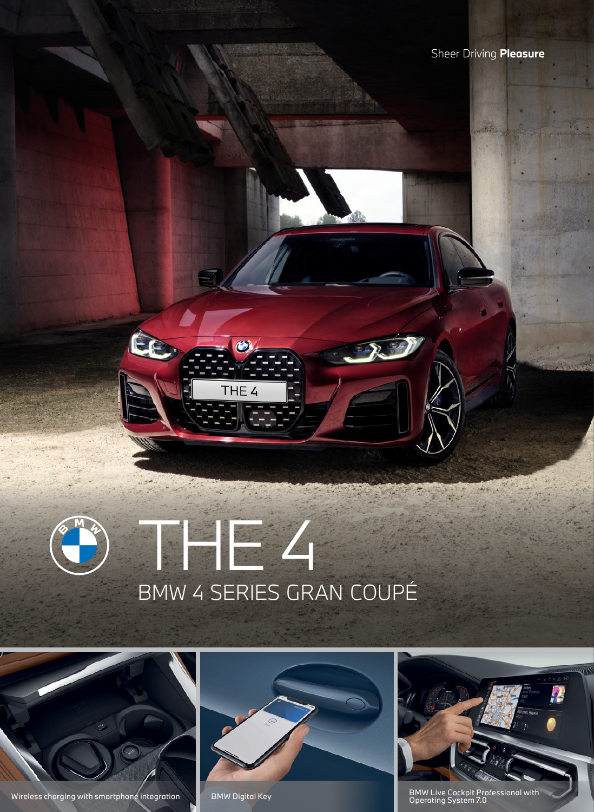## THE 4 BMW 4 SERIES GRAN COUPÉ

THE 4



Wireless charging with smartphone integration BMW Digital Key





BMW Live Cockpit Professional with<br>Operating System 7.0